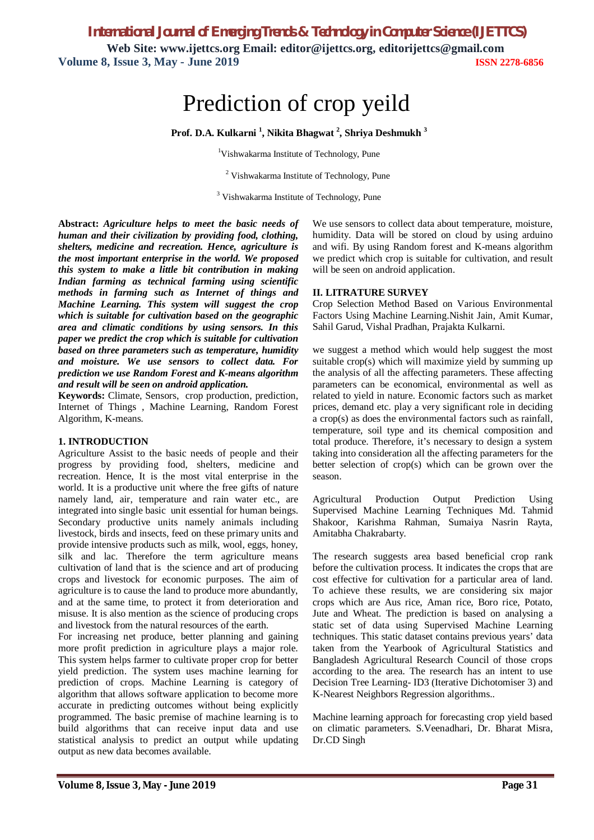*International Journal of Emerging Trends & Technology in Computer Science (IJETTCS)*

**Web Site: www.ijettcs.org Email: editor@ijettcs.org, editorijettcs@gmail.com Volume 8, Issue 3, May - June 2019 ISSN 2278-6856**

# Prediction of crop yeild

**Prof. D.A. Kulkarni <sup>1</sup> , Nikita Bhagwat <sup>2</sup> , Shriya Deshmukh <sup>3</sup>**

<sup>1</sup>Vishwakarma Institute of Technology, Pune

<sup>2</sup> Vishwakarma Institute of Technology, Pune

<sup>3</sup> Vishwakarma Institute of Technology, Pune

**Abstract:** *Agriculture helps to meet the basic needs of human and their civilization by providing food, clothing, shelters, medicine and recreation. Hence, agriculture is the most important enterprise in the world. We proposed this system to make a little bit contribution in making Indian farming as technical farming using scientific methods in farming such as Internet of things and Machine Learning. This system will suggest the crop which is suitable for cultivation based on the geographic area and climatic conditions by using sensors. In this paper we predict the crop which is suitable for cultivation based on three parameters such as temperature, humidity and moisture. We use sensors to collect data. For prediction we use Random Forest and K-means algorithm and result will be seen on android application.*

**Keywords:** Climate, Sensors, crop production, prediction, Internet of Things , Machine Learning, Random Forest Algorithm, K-means.

#### **1. INTRODUCTION**

Agriculture Assist to the basic needs of people and their progress by providing food, shelters, medicine and recreation. Hence, It is the most vital enterprise in the world. It is a productive unit where the free gifts of nature namely land, air, temperature and rain water etc., are integrated into single basic unit essential for human beings. Secondary productive units namely animals including livestock, birds and insects, feed on these primary units and provide intensive products such as milk, wool, eggs, honey, silk and lac. Therefore the term agriculture means cultivation of land that is the science and art of producing crops and livestock for economic purposes. The aim of agriculture is to cause the land to produce more abundantly, and at the same time, to protect it from deterioration and misuse. It is also mention as the science of producing crops and livestock from the natural resources of the earth.

For increasing net produce, better planning and gaining more profit prediction in agriculture plays a major role. This system helps farmer to cultivate proper crop for better yield prediction. The system uses machine learning for prediction of crops. Machine Learning is category of algorithm that allows software application to become more accurate in predicting outcomes without being explicitly programmed. The basic premise of machine learning is to build algorithms that can receive input data and use statistical analysis to predict an output while updating output as new data becomes available.

We use sensors to collect data about temperature, moisture, humidity. Data will be stored on cloud by using arduino and wifi. By using Random forest and K-means algorithm we predict which crop is suitable for cultivation, and result will be seen on android application.

#### **II. LITRATURE SURVEY**

Crop Selection Method Based on Various Environmental Factors Using Machine Learning.Nishit Jain, Amit Kumar, Sahil Garud, Vishal Pradhan, Prajakta Kulkarni.

we suggest a method which would help suggest the most suitable crop(s) which will maximize yield by summing up the analysis of all the affecting parameters. These affecting parameters can be economical, environmental as well as related to yield in nature. Economic factors such as market prices, demand etc. play a very significant role in deciding a crop(s) as does the environmental factors such as rainfall, temperature, soil type and its chemical composition and total produce. Therefore, it's necessary to design a system taking into consideration all the affecting parameters for the better selection of crop(s) which can be grown over the season.

Agricultural Production Output Prediction Using Supervised Machine Learning Techniques Md. Tahmid Shakoor, Karishma Rahman, Sumaiya Nasrin Rayta, Amitabha Chakrabarty.

The research suggests area based beneficial crop rank before the cultivation process. It indicates the crops that are cost effective for cultivation for a particular area of land. To achieve these results, we are considering six major crops which are Aus rice, Aman rice, Boro rice, Potato, Jute and Wheat. The prediction is based on analysing a static set of data using Supervised Machine Learning techniques. This static dataset contains previous years' data taken from the Yearbook of Agricultural Statistics and Bangladesh Agricultural Research Council of those crops according to the area. The research has an intent to use Decision Tree Learning- ID3 (Iterative Dichotomiser 3) and K-Nearest Neighbors Regression algorithms..

Machine learning approach for forecasting crop yield based on climatic parameters. S.Veenadhari, Dr. Bharat Misra, Dr.CD Singh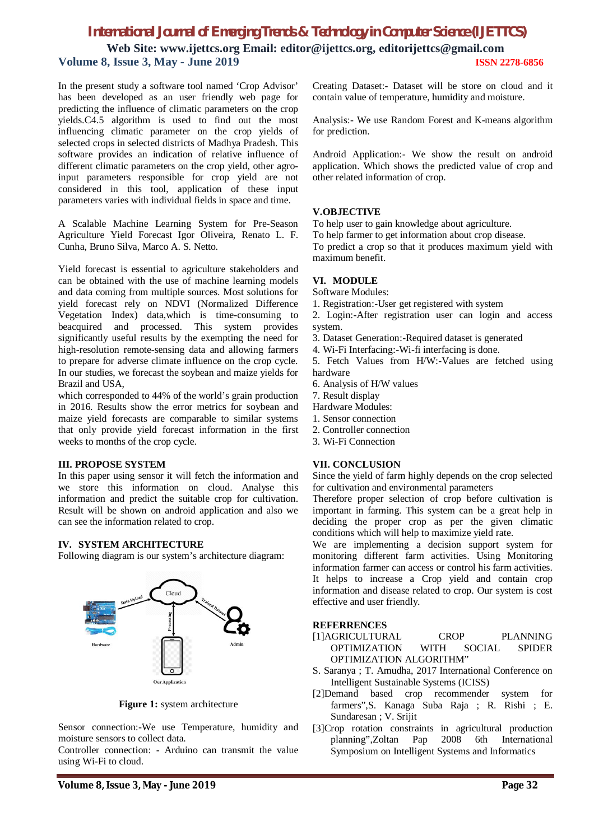## *International Journal of Emerging Trends & Technology in Computer Science (IJETTCS)*

**Web Site: www.ijettcs.org Email: editor@ijettcs.org, editorijettcs@gmail.com Volume 8, Issue 3, May - June 2019 ISSN 2278-6856**

In the present study a software tool named 'Crop Advisor' has been developed as an user friendly web page for predicting the influence of climatic parameters on the crop yields.C4.5 algorithm is used to find out the most influencing climatic parameter on the crop yields of selected crops in selected districts of Madhya Pradesh. This software provides an indication of relative influence of different climatic parameters on the crop yield, other agroinput parameters responsible for crop yield are not considered in this tool, application of these input parameters varies with individual fields in space and time.

A Scalable Machine Learning System for Pre-Season Agriculture Yield Forecast Igor Oliveira, Renato L. F. Cunha, Bruno Silva, Marco A. S. Netto.

Yield forecast is essential to agriculture stakeholders and can be obtained with the use of machine learning models and data coming from multiple sources. Most solutions for yield forecast rely on NDVI (Normalized Difference Vegetation Index) data,which is time-consuming to beacquired and processed. This system provides significantly useful results by the exempting the need for high-resolution remote-sensing data and allowing farmers to prepare for adverse climate influence on the crop cycle. In our studies, we forecast the soybean and maize yields for Brazil and USA,

which corresponded to 44% of the world's grain production in 2016. Results show the error metrics for soybean and maize yield forecasts are comparable to similar systems that only provide yield forecast information in the first weeks to months of the crop cycle.

#### **III. PROPOSE SYSTEM**

In this paper using sensor it will fetch the information and we store this information on cloud. Analyse this information and predict the suitable crop for cultivation. Result will be shown on android application and also we can see the information related to crop.

#### **IV. SYSTEM ARCHITECTURE**

Following diagram is our system's architecture diagram:



**Figure 1:** system architecture

Sensor connection:-We use Temperature, humidity and moisture sensors to collect data.

Controller connection: - Arduino can transmit the value using Wi-Fi to cloud.

Analysis:- We use Random Forest and K-means algorithm for prediction.

Android Application:- We show the result on android application. Which shows the predicted value of crop and other related information of crop.

#### **V.OBJECTIVE**

To help user to gain knowledge about agriculture.

To help farmer to get information about crop disease.

To predict a crop so that it produces maximum yield with maximum benefit.

### **VI. MODULE**

Software Modules:

- 1. Registration:-User get registered with system
- 2. Login:-After registration user can login and access system.
- 3. Dataset Generation:-Required dataset is generated
- 4. Wi-Fi Interfacing:-Wi-fi interfacing is done.

5. Fetch Values from H/W:-Values are fetched using hardware

- 6. Analysis of H/W values
- 7. Result display
- Hardware Modules:
- 1. Sensor connection
- 2. Controller connection
- 3. Wi-Fi Connection

#### **VII. CONCLUSION**

Since the yield of farm highly depends on the crop selected for cultivation and environmental parameters

Therefore proper selection of crop before cultivation is important in farming. This system can be a great help in deciding the proper crop as per the given climatic conditions which will help to maximize yield rate.

We are implementing a decision support system for monitoring different farm activities. Using Monitoring information farmer can access or control his farm activities. It helps to increase a Crop yield and contain crop information and disease related to crop. Our system is cost effective and user friendly.

#### **REFERRENCES**

- [1]AGRICULTURAL CROP PLANNING OPTIMIZATION WITH SOCIAL SPIDER OPTIMIZATION ALGORITHM"
- S. Saranya ; T. Amudha, 2017 International Conference on Intelligent Sustainable Systems (ICISS)
- [2]Demand based crop recommender system for farmers",S. Kanaga Suba Raja ; R. Rishi ; E. Sundaresan ; V. Srijit
- [3]Crop rotation constraints in agricultural production<br>planning".Zoltan Pap 2008 6th International planning",Zoltan Pap Symposium on Intelligent Systems and Informatics